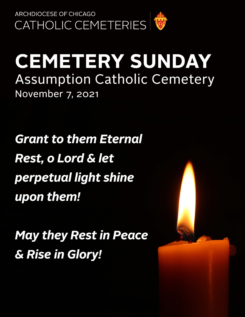

# **CEMETERY SUNDAY Assumption Catholic Cemetery** November 7, 2021

**Grant to them Eternal Rest, o Lord & let** perpetual light shine upon them!

**May they Rest in Peace** & Rise in Glory!

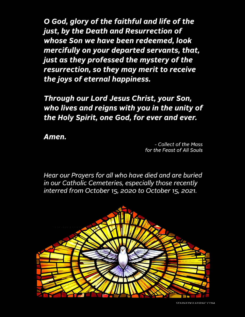O God, glory of the faithful and life of the just, by the Death and Resurrection of whose Son we have been redeemed, look mercifully on your departed servants, that, just as they professed the mystery of the resurrection, so they may merit to receive the joys of eternal happiness.

Through our Lord Jesus Christ, your Son, who lives and reigns with you in the unity of the Holy Spirit, one God, for ever and ever.

Amen.

- Collect of the Mass for the Feast of All Souls

Hear our Prayers for all who have died and are buried in our Catholic Cemeteries, especially those recently interred from October 15, 2020 to October 15, 2021.

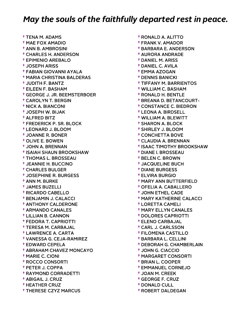† TENA M. ADAMS † MAE FOX AMADIO † ANN B. AMBROSINI † CHARLES H. ANDERSON † EPIMENIO AREBALO † JOSEPH ARISS † FABIAN GIOVANNI AYALA † MARIA CHRISTINA BALDERAS † JUDITH F. BANTZ † EILEEN F. BASHAM † GEORGE J. JR. BEEMSTERBOER † CAROLYN T. BERGIN † NICK A. BIANCONI † JOSEPH W. BIJAK † ALFRED BITZ † FREDERICK P. SR. BLOCK † LEONARD J. BLOOM † JOANNE R. BONER † OLIVE E. BOWEN † JOHN A. BRENNAN † ISAIAH SHAUN BROOKSHAW † THOMAS L. BROSSEAU † JEANNIE H. BUCCINO † CHARLES BULGER † JOSEPHINE R. BURGESS † ANN M. BURKE † JAMES BUZELLI † RICARDO CABELLO † BENJAMIN J. CALACCI † ANTHONY CALDERONE † ARMANDO CANALES † LILLIAN B. CANNON † FEDORA T. CAPRIOTTI † TERESA M. CARBAJAL † LAWRENCE A. CARTA † VANESSA G. CEJA-RAMIREZ † EDWARD CEPELA † ABRAHAM CHAVEZ MONCAYO † MARIE C. CIONI † ROCCO CONSORTI † PETER J. COPPA † RAYMOND CORRADETTI † ABIGAIL J. CRUZ † HEATHER CRUZ † THERESE CZYZ MARCUS

 † RONALD A. ALITTO † FRANK V. AMADOR † BARBARA E. ANDERSON † AURORA ANDRADE † DANIEL M. ARISS † DANIEL C. AVILA † EMMA AZOGAN † DENNIS BANICKI † TIFFANY M. BARRIENTOS † WILLIAM C. BASHAM † RONALD H. BENTLE † BREANA D. BETANCOURT- † CONSTANCE C. BIEDRON † LEONA A. BIRDSELL † WILLIAM A. BLEWITT † SHARON A. BLOCK † SHIRLEY J. BLOOM † CONCHETTA BOVE † CLAUDIA A. BRENNAN † ISAAC TIMOTHY BROOKSHAW † DIANE I. BROSSEAU † BELEN C. BROWN † JACQUELINE BUCH † DIANE BURGESS † ELVIRA BURGIO † MARY ANN BUTTERFIELD † OFELIA A. CABALLERO † JOHN ETHEL CADE † MARY KATHERINE CALACCI † LORETTA CAMELI † MARY ELLYN CANALES † DOLORES CAPRIOTTI † ELENO CARBAJAL † CARL J. CARLSSON † FILOMENA CASTILLO † BARBARA L. CELLINI † DEBORAH G. CHAMBERLAIN † JOHN G. CIACCIO † MARGARET CONSORTI † BRIAN L. COOPER † EMMANUEL CORNEJO † JOAN M. CREEK † GEORGE F. CRUZ † DONALD CULL

† ROBERT DALDEGAN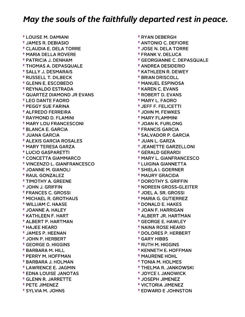† LOUISE M. DAMIANI † JAMES R. DEBIASIO † CLAUDIA E. DELA TORRE † MARIA DELLA ROVERE † PATRICIA J. DENHAM † THOMAS A. DEPASQUALE † SALLY J. DESMARAIS † RUSSELL T. DILBECK † GLENN E. ESCOBEDO † REYNALDO ESTRADA † QUARTEZ DIAMOND JR EVANS † LEO DANTE FAORO † PEGGY SUE FARINA † ALFREDO FERREIRA † RAYMOND D. FLAMINI † MARY LOU FRANCESCONI † BLANCA E. GARCIA † JUANA GARCIA † ALEXIS GARCIA ROSALES † MARY TERESA GARZA † LUCIO GASPARETTI † CONCETTA GIAMMARCO † VINCENZO L. GIANFRANCESCO † JOANNE M. GIANOLI † RAUL GONZALEZ † TIMOTHY A. GREENE † JOHN J. GRIFFIN † FRANCES C. GROSSI † MICHAEL R. GROTHAUS † WILLIAM C. HAASE † JOANNE A. HALEY † KATHLEEN F. HART † ALBERT P. HARTMAN † HAJEE HEARD † JAMES P. HEENAN † JOHN P. HERBERT † GEORGE D. HIGGINS † BARBARA M. HILL † PERRY M. HOFFMAN † BARBARA J. HOLMAN † LAWRENCE E. JAGMIN † EDNA LOUISE JANOTAS † GLENN R. JARRETTE † PETE JIMENEZ † SYLVIA M. JOHNS

 † RYAN DEBERGH † ANTONIO C. DEFIORE † JOSE N. DELA TORRE † FRANK V. DELUCA † GEORGIANNE C. DEPASQUALE † ANDREA DESIDERIO † KATHLEEN R. DEWEY † BRIAN DRISCOLL † MANUEL ESPINOSA † KAREN C. EVANS † ROBERT D. EVANS † MARY L. FAORO † JEFF F. FELICETTI † JOHN M. FEWKES † MARY FLAMMINI † JOAN K. FURLONG † FRANCIS GARCIA † SALVADOR P. GARCIA † JUAN L. GARZA † JEANETTE GARZELLONI † GERALD GERARDI † MARY L. GIANFRANCESCO † LUIGINA GIANNETTA † SHIELA I. GOERNER † MAURY GRACIDA † DOROTHY S. GRIFFIN † NOREEN GROSS-GLEITER † JOEL A. SR. GROSSI † MARIA G. GUTIERREZ † DONALD E. HAKES † JOAN F. HARRIGAN † ALBERT JR. HARTMAN † GEORGE E. HAWLEY † NAINA ROSE HEARD † DOLORES P. HERBERT † GARY HIBBS † RUTH M. HIGGINS † KENNETH E. HOFFMAN † MAURENE HOHL † TONIA M. HOLMES † THELMA R. JANKOWSKI † JOYCE I. JANOWICK † JOSEPH JIMENEZ † VICTORIA JIMENEZ † EDWARD E JOHNSTON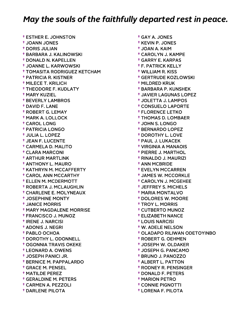† ESTHER E. JOHNSTON † JOANN JONES † DORIS JULIAN † BARBARA J. KALINOWSKI † DONALD N. KAPELLEN † JOANNE L. KARWOWSKI † TOMASITA RODRIGUEZ KETCHAM † PATRICIA R. KISTNER † MILECE T. KRILICH † THEODORE F. KUDLATY † MARY KUZIEL † BEVERLY LAMBROS † DAVID F. LANE † ROBERT G. LEMAY † MARK A. LOLLOCK † CAROL LONG † PATRICIA LONGO † JULIA L. LOPEZ † JEAN F. LUCENTE † CARMELA D. MALITO † CLARA MARCONI † ARTHUR MARTLINK † ANTHONY L. MAURO † KATHRYN M. MCCAFFERTY † CAROL ANN MCCARTHY † ELLEN M. MCDERMOTT † ROBERTA J. MCLAUGHLIN † CHARLENE E. MOLYNEAUX † JOSEPHINE MONTY † JANICE MORRIS † MARY MAGDALENE MORRISE † FRANCISCO J. MUNOZ † IRENE J. NARCISI † ADONIS J. NEGRI † PABLO OCHOA † DOROTHY L. ODONNELL † OGONNIA TRAVIS OKEKE † LEONARD A. OWENS † JOSEPH PANICI JR. † BERNICE M. PAPPALARDO † GRACE M. PENSEL † MATILDE PEREZ † GERALDINE M. PETERS † CARMEN A. PEZZOLI † DARLENE PILOTA

 † GAY A. JONES † KEVIN P. JONES † JOAN A. KAIM † CAROLYN J. KAMPE † GARRY E. KARPAS † F. PATRICK KELLY † WILLIAM R. KISS † GERTRUDE KOZLOWSKI † MILDRED KRUK † BARBARA P. KUNSHEK † JAVIER LAGUNAS LOPEZ † JOLETTA J. LAMPOS † CONSUELO LAPORTE † FLORENCE LETKO † THOMAS D. LOMBAER † JOHN S. LONGO † BERNARDO LOPEZ † DOROTHY L. LOVE † PAUL J. LUKACEK † VIRGINIA A MANAOIS † PIERRE J. MARTHOL † RINALDO J. MAURIZI † ANN MCBRIDE † EVELYN MCCARREN † JAMES W. MCCORKLE † CAROLYN J. MCGEHEE † JEFFREY S. MICHELS † MARIA MONTALVO † DOLORES W. MOORE † TROY L. MORRIS † CUTBERTO MUNOZ † ELIZABETH NANCE † LOUIS NARCISI † W. ADELE NELSON † OLADAPO RILIWAN ODETOYINBO † ROBERT G. OEHMEN † JOSEPH W. OLDAKER † JOSEPH G. PANCAMO † BRUNO J. PANOZZO † ALBERT L. PATTON † RODNEY R. PENSINGER † DONALD F. PETERS † MARION PETRO † CONNIE PIGNOTTI

† LORENA F. PILOTA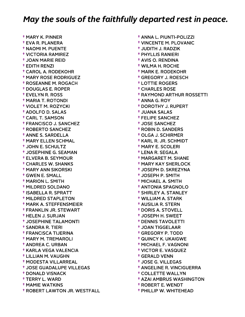† MARY K. PINNER † EVA R. PLANERA † NAOMI M. PUENTE † VICTORIA RAMIREZ † JOAN MARIE REID † EDITH RENZI † CAROL A. RODEKOHR † MARY ROSE RODRIGUEZ † ROSEANNE M. ROGACH † DOUGLAS E. ROPER † EVELYN R. ROSS † MARIA T. ROTONDI † VIOLET M. ROZYCKI † ADOLFO D. SALAS † CARL T. SAMSON † FRANCISCO J. SANCHEZ † ROBERTO SANCHEZ † ANNE S. SARDELLA † MARY ELLEN SCHMAL † JOHN E. SCHULTZ † JOSEPHINE G. SEAMAN † ELVERA B. SEYMOUR † CHARLES W. SHANKS † MARY ANN SIKORSKI † GWEN E. SMALL † MARION L. SMITH † MILDRED SOLDANO † ISABELLA R. SPRATT † MILDRED STAPLETON † MARK A. STEFFENSMEIER † FRANKLIN JR. STEWART † HELEN J. SURJAN † JOSEPHINE TALAMONTI † SANDRA R. TIERI † FRANCISCA TIJERINA † MARY M. TREMAROLI † ANDREA C. URBAN † KARLA VEGA VALENCIA † LILLIAN M. VAUGHN † MODESTA VILLARREAL † JOSE GUADALUPE VILLEGAS † DONALD VISNACK † TERRY L. WARD † MAMIE WATKINS † ROBERT LAWTON JR. WESTFALL

 † ANNA L. PIUNTI-POLIZZI † VINCENTE M. PLOVANIC † JUDITH J. RADZIK † PHYLLIS RANIERI † AVIS O. RENDINA † WILMA H. ROCHE † MARK E. RODEKOHR † GREGORY J. ROESCH † LOTTIE ROGERS † CHARLES ROSE † RAYMOND ARTHUR ROSSETTI † ANNA G. ROY † DOROTHY J. RUPERT † JUANA SALAS † FELIPE SANCHEZ † JOSE SANCHEZ † ROBIN D. SANDERS † OLGA J. SCHIRMER † KARL R. JR. SCHMIDT † MARY E. SCOLERI † LENA R. SEGALA † MARGARET M. SHANE † MARY KAY SHERLOCK † JOSEPH D. SKREZYNA † JOSEPH P. SMITH † MICHAEL A. SMITH † ANTONIA SPAGNOLO † SHIRLEY A. STANLEY † WILLIAM A. STARK † AUSILIA R. STERN † DORIS A. STOVELL † JOSEPH H. SWEET † DENNIS TAVOLETTI † JOAN TIGGELAAR † GREGORY P. TODD † QUINCY K. UKAIGWE † MICHAEL F. VAGNONI † VICTOR E. VASQUEZ † GERALD VENN † JOSE G. VILLEGAS † ANGELINE R. VINCIGUERRA † COLLETTE WALLYN † AZAI AMBRUS WASHINGTON † ROBERT E. WENDT

† PHILLIP W. WHITEHEAD